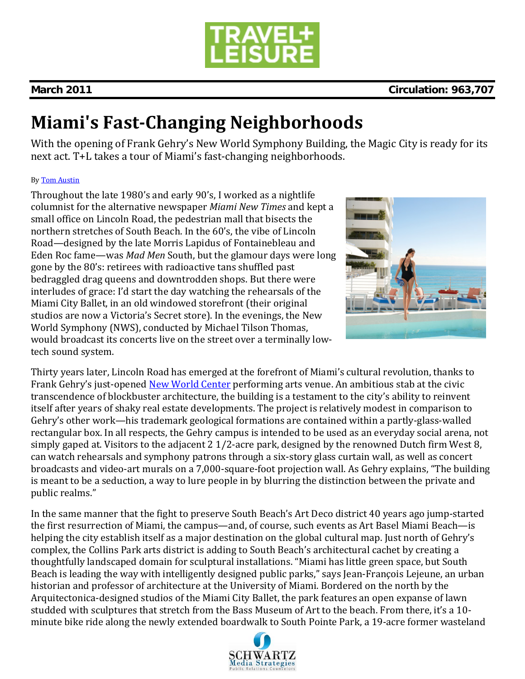

# **March 2011 Circulation: 963,707**

# **Miami's FastChanging Neighborhoods**

With the opening of Frank Gehry's New World Symphony Building, the Magic City is ready for its next act. T+L takes a tour of Miami's fast‐changing neighborhoods.

### By Tom Austin

Throughout the late 1980's and early 90's, I worked as a nightlife columnist for the alternative newspaper *Miami New Times* and kept a small office on Lincoln Road, the pedestrian mall that bisects the northern stretches of South Beach. In the 60's, the vibe of Lincoln Road—designed by the late Morris Lapidus of Fontainebleau and Eden Roc fame—was *Mad Men* South, but the glamour days were long gone by the 80's: retirees with radioactive tans shuffled past bedraggled drag queens and downtrodden shops. But there were interludes of grace: I'd start the day watching the rehearsals of the Miami City Ballet, in an old windowed storefront (their original studios are now a Victoria's Secret store). In the evenings, the New World Symphony (NWS), conducted by Michael Tilson Thomas, would broadcast its concerts live on the street over a terminally low‐ tech sound system.



Thirty years later, Lincoln Road has emerged at the forefront of Miami's cultural revolution, thanks to Frank Gehry's just-opened New World Center performing arts venue. An ambitious stab at the civic transcendence of blockbuster architecture, the building is a testament to the city's ability to reinvent itself after years of shaky real estate developments. The project is relatively modest in comparison to Gehry's other work—his trademark geological formations are contained within a partly‐glass‐walled rectangular box. In all respects, the Gehry campus is intended to be used as an everyday social arena, not simply gaped at. Visitors to the adjacent 2 1/2‐acre park, designed by the renowned Dutch firm West 8, can watch rehearsals and symphony patrons through a six‐story glass curtain wall, as well as concert broadcasts and video‐art murals on a 7,000‐square‐foot projection wall. As Gehry explains, "The building is meant to be a seduction, a way to lure people in by blurring the distinction between the private and public realms."

In the same manner that the fight to preserve South Beach's Art Deco district 40 years ago jump-started the first resurrection of Miami, the campus—and, of course, such events as Art Basel Miami Beach—is helping the city establish itself as a major destination on the global cultural map. Just north of Gehry's complex, the Collins Park arts district is adding to South Beach's architectural cachet by creating a thoughtfully landscaped domain for sculptural installations. "Miami has little green space, but South Beach is leading the way with intelligently designed public parks," says Jean‐François Lejeune, an urban historian and professor of architecture at the University of Miami. Bordered on the north by the Arquitectonica‐designed studios of the Miami City Ballet, the park features an open expanse of lawn studded with sculptures that stretch from the Bass Museum of Art to the beach. From there, it's a 10‐ minute bike ride along the newly extended boardwalk to South Pointe Park, a 19‐acre former wasteland

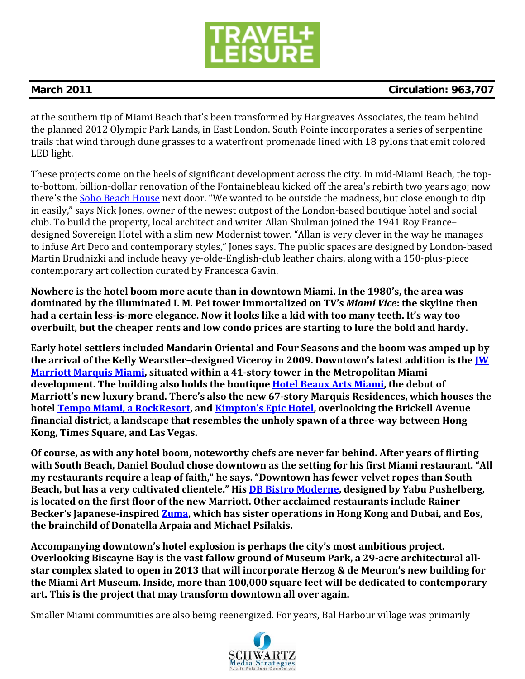

# **March 2011 Circulation: 963,707**

at the southern tip of Miami Beach that's been transformed by Hargreaves Associates, the team behind the planned 2012 Olympic Park Lands, in East London. South Pointe incorporates a series of serpentine trails that wind through dune grasses to a waterfront promenade lined with 18 pylons that emit colored LED light.

These projects come on the heels of significant development across the city. In mid‐Miami Beach, the top‐ to‐bottom, billion‐dollar renovation of the Fontainebleau kicked off the area's rebirth two years ago; now there's the Soho Beach House next door. "We wanted to be outside the madness, but close enough to dip in easily," says Nick Jones, owner of the newest outpost of the London‐based boutique hotel and social club. To build the property, local architect and writer Allan Shulman joined the 1941 Roy France– designed Sovereign Hotel with a slim new Modernist tower. "Allan is very clever in the way he manages to infuse Art Deco and contemporary styles," Jones says. The public spaces are designed by London‐based Martin Brudnizki and include heavy ye‐olde‐English‐club leather chairs, along with a 150‐plus‐piece contemporary art collection curated by Francesca Gavin.

**Nowhere is the hotel boom more acute than in downtown Miami. In the 1980's, the area was dominated by the illuminated I. M. Pei tower immortalized on TV's** *Miami Vice***: the skyline then** had a certain less-is-more elegance. Now it looks like a kid with too many teeth. It's way too **overbuilt, but the cheaper rents and low condo prices are starting to lure the bold and hardy.**

**Early hotel settlers included Mandarin Oriental and Four Seasons and the boom was amped up by the arrival of the Kelly Wearstler–designed Viceroy in 2009. Downtown's latest addition is the JW Marriott Marquis Miami, situated within a 41story tower in the Metropolitan Miami development. The building also holds the boutique Hotel Beaux Arts Miami, the debut of Marriott's new luxury brand. There's also the new 67story Marquis Residences, which houses the hotel Tempo Miami, a RockResort, and Kimpton's Epic Hotel, overlooking the Brickell Avenue financial district, a landscape that resembles the unholy spawn of a threeway between Hong Kong, Times Square, and Las Vegas.**

**Of course, as with any hotel boom, noteworthy chefs are never far behind. After years of flirting with South Beach, Daniel Boulud chose downtown as the setting for his first Miami restaurant. "All my restaurants require a leap of faith," he says. "Downtown has fewer velvet ropes than South Beach, but has a very cultivated clientele." His DB Bistro Moderne, designed by Yabu Pushelberg, is located on the first floor of the new Marriott. Other acclaimed restaurants include Rainer Becker's Japaneseinspired Zuma, which has sister operations in Hong Kong and Dubai, and Eos, the brainchild of Donatella Arpaia and Michael Psilakis.**

**Accompanying downtown's hotel explosion is perhaps the city's most ambitious project. Overlooking Biscayne Bay is the vast fallow ground of Museum Park, a 29acre architectural allstar complex slated to open in 2013 that will incorporate Herzog & de Meuron's new building for the Miami Art Museum. Inside, more than 100,000 square feet will be dedicated to contemporary art. This is the project that may transform downtown all over again.**

Smaller Miami communities are also being reenergized. For years, Bal Harbour village was primarily